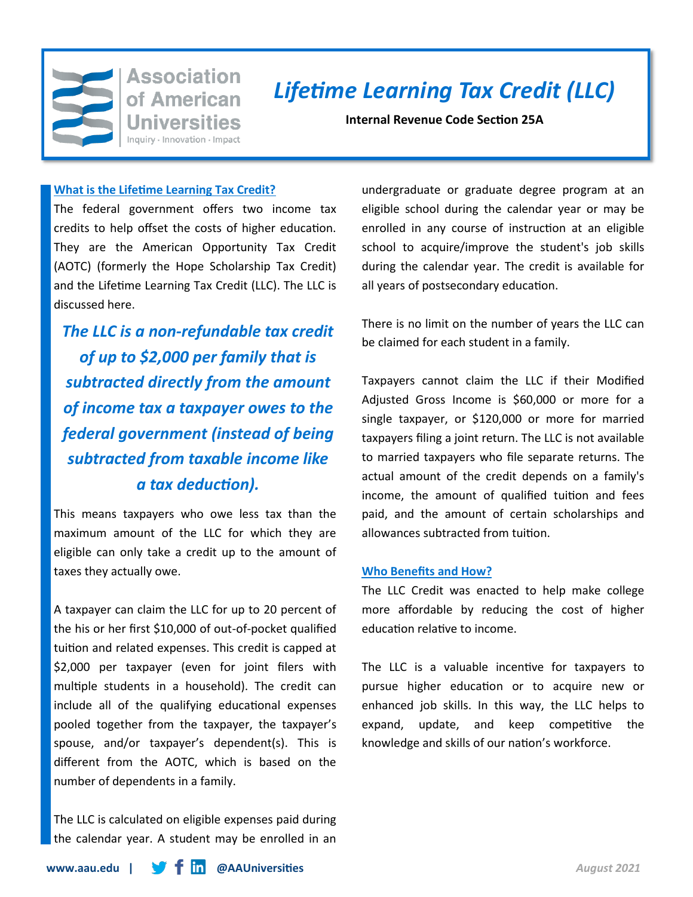

**Association** of American <u>l Iniversiti</u> Inquiry · Innovation · Impact

# *Lifetime Learning Tax Credit (LLC)*

**Internal Revenue Code Section 25A**

# **What is the Lifetime Learning Tax Credit?**

The federal government offers two income tax credits to help offset the costs of higher education. They are the American Opportunity Tax Credit (AOTC) (formerly the Hope Scholarship Tax Credit) and the Lifetime Learning Tax Credit (LLC). The LLC is discussed here.

*The LLC is a non-refundable tax credit of up to \$2,000 per family that is subtracted directly from the amount of income tax a taxpayer owes to the federal government (instead of being subtracted from taxable income like a tax deduction).* 

This means taxpayers who owe less tax than the maximum amount of the LLC for which they are eligible can only take a credit up to the amount of taxes they actually owe.

A taxpayer can claim the LLC for up to 20 percent of the his or her first \$10,000 of out-of-pocket qualified tuition and related expenses. This credit is capped at \$2,000 per taxpayer (even for joint filers with multiple students in a household). The credit can include all of the qualifying educational expenses pooled together from the taxpayer, the taxpayer's spouse, and/or taxpayer's dependent(s). This is different from the AOTC, which is based on the number of dependents in a family.

The LLC is calculated on eligible expenses paid during the calendar year. A student may be enrolled in an

undergraduate or graduate degree program at an eligible school during the calendar year or may be enrolled in any course of instruction at an eligible school to acquire/improve the student's job skills during the calendar year. The credit is available for all years of postsecondary education.

There is no limit on the number of years the LLC can be claimed for each student in a family.

Taxpayers cannot claim the LLC if their Modified Adjusted Gross Income is \$60,000 or more for a single taxpayer, or \$120,000 or more for married taxpayers filing a joint return. The LLC is not available to married taxpayers who file separate returns. The actual amount of the credit depends on a family's income, the amount of qualified tuition and fees paid, and the amount of certain scholarships and allowances subtracted from tuition.

#### **Who Benefits and How?**

The LLC Credit was enacted to help make college more affordable by reducing the cost of higher education relative to income.

The LLC is a valuable incentive for taxpayers to pursue higher education or to acquire new or enhanced job skills. In this way, the LLC helps to expand, update, and keep competitive the knowledge and skills of our nation's workforce.